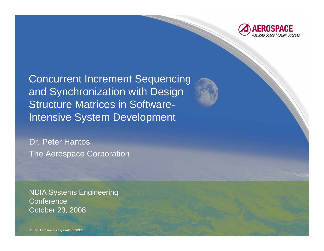

Concurrent Increment Sequencing and Synchronization with Design Structure Matrices in Software-Intensive System Development

Dr. Peter Hantos The Aerospace Corporation

NDIA Systems Engineering **Conference** October 23, 2008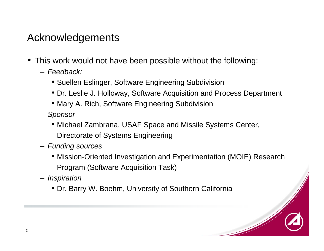#### Acknowledgements

- This work would not have been possible without the following:
	- *Feedback:*
		- Suellen Eslinger, Software Engineering Subdivision
		- Dr. Leslie J. Holloway, Software Acquisition and Process Department
		- Mary A. Rich, Software Engineering Subdivision
	- *Sponsor*
		- Michael Zambrana, USAF Space and Missile Systems Center, Directorate of Systems Engineering
	- *Funding sources*
		- Mission-Oriented Investigation and Experimentation (MOIE) Research Program (Software Acquisition Task)
	- *Inspiration*
		- Dr. Barry W. Boehm, University of Southern California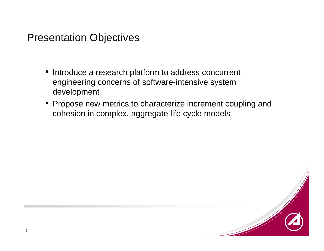#### Presentation Objectives

- Introduce a research platform to address concurrent engineering concerns of software-intensive system development
- Propose new metrics to characterize increment coupling and cohesion in complex, aggregate life cycle models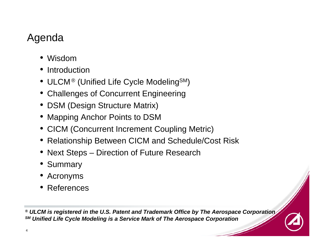### Agenda

- Wisdom
- Introduction
- $\bullet\,$  ULCM® (Unified Life Cycle Modeling $^{\texttt{SM}}$ )
- Challenges of Concurrent Engineering
- DSM (Design Structure Matrix)
- Mapping Anchor Points to DSM
- CICM (Concurrent Increment Coupling Metric)
- Relationship Between CICM and Schedule/Cost Risk
- Next Steps Direction of Future Research
- Summary
- Acronyms
- References

*® ULCM is registered in the U.S. Patent and Trademark Office by The Aerospace Corporation SM Unified Life Cycle Modeling is a Service Mark of The Aerospace Corporation*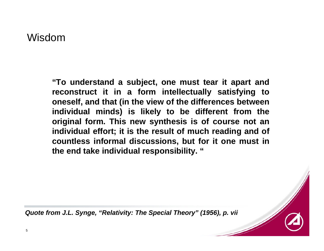Wisdom

**"To understand a subject, one must tear it apart and reconstruct it in a form intellectually satisfying to oneself, and that (in the view of the differences between individual minds) is likely to be different from the original form. This new synthesis is of course not an individual effort; it is the result of much reading and of countless informal discussions, but for it one must in the end take individual responsibility. "**

*Quote from J.L. Synge, "Relativity: The Special Theory" (1956), p. vii*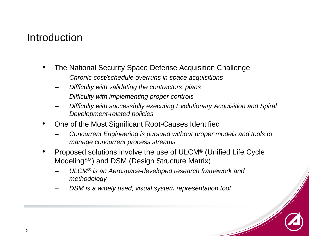#### Introduction

- • The National Security Space Defense Acquisition Challenge
	- –*Chronic cost/schedule overruns in space acquisitions*
	- –*Difficulty with validating the contractors' plans*
	- –*Difficulty with implementing proper controls*
	- – *Difficulty with successfully executing Evolutionary Acquisition and Spiral Development-related policies*
- • One of the Most Significant Root-Causes Identified
	- – *Concurrent Engineering is pursued without proper models and tools to manage concurrent process streams*
- • Proposed solutions involve the use of ULCM® (Unified Life Cycle ModelingSM) and DSM (Design Structure Matrix)
	- – *ULCM® is an Aerospace-developed research framework and methodology*
	- –*DSM is a widely used, visual system representation tool*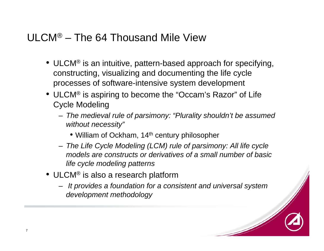#### ULCM® – The 64 Thousand Mile View

- ULCM® is an intuitive, pattern-based approach for specifying, constructing, visualizing and documenting the life cycle processes of software-intensive system development
- ULCM® is aspiring to become the "Occam's Razor" of Life Cycle Modeling
	- *The medieval rule of parsimony: "Plurality shouldn't be assumed without necessity"*
		- William of Ockham, 14<sup>th</sup> century philosopher
	- *The Life Cycle Modeling (LCM) rule of parsimony: All life cycle models are constructs or derivatives of a small number of basic life cycle modeling patterns*
- ULCM® is also a research platform
	- *It provides a foundation for a consistent and universal system development methodology*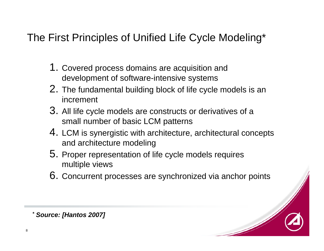#### The First Principles of Unified Life Cycle Modeling\*

- 1. Covered process domains are acquisition and development of software-intensive systems
- 2. The fundamental building block of life cycle models is an increment
- 3. All life cycle models are constructs or derivatives of a small number of basic LCM patterns
- 4. LCM is synergistic with architecture, architectural concepts and architecture modeling
- 5. Proper representation of life cycle models requires multiple views
- 6. Concurrent processes are synchronized via anchor points

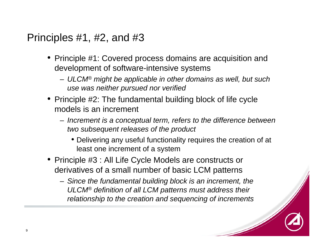#### Principles #1, #2, and #3

- Principle #1: Covered process domains are acquisition and development of software-intensive systems
	- *ULCM® might be applicable in other domains as well, but such use was neither pursued nor verified*
- Principle #2: The fundamental building block of life cycle models is an increment
	- *Increment is a conceptual term, refers to the difference between two subsequent releases of the product*
		- Delivering any useful functionality requires the creation of at least one increment of a system
- Principle #3 : All Life Cycle Models are constructs or derivatives of a small number of basic LCM patterns
	- *Since the fundamental building block is an increment, the ULCM® definition of all LCM patterns must address their relationship to the creation and sequencing of increments*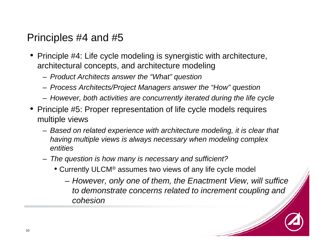#### Principles #4 and #5

- Principle #4: Life cycle modeling is synergistic with architecture, architectural concepts, and architecture modeling
	- *Product Architects answer the "What" question*
	- *Process Architects/Project Managers answer the "How" question*
	- *However, both activities are concurrently iterated during the life cycle*
- Principle #5: Proper representation of life cycle models requires multiple views
	- *Based on related experience with architecture modeling, it is clear that having multiple views is always necessary when modeling complex entities*
	- *The question is how many is necessary and sufficient?*
		- Currently ULCM® assumes two views of any life cycle model
			- *However, only one of them, the Enactment View, will suffice to demonstrate concerns related to increment coupling and cohesion*

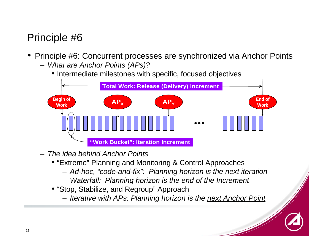#### Principle #6

- Principle #6: Concurrent processes are synchronized via Anchor Points
	- *What are Anchor Points (APs)?*
		- Intermediate milestones with specific, focused objectives



- *The idea behind Anchor Points* 
	- "Extreme" Planning and Monitoring & Control Approaches
		- *Ad-hoc, "code-and-fix": Planning horizon is the next iteration*
		- *Waterfall: Planning horizon is the end of the Increment*
	- "Stop, Stabilize, and Regroup" Approach
		- *Iterative with APs: Planning horizon is the next Anchor Point*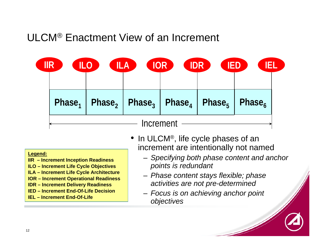#### ULCM® Enactment View of an Increment

| IIR       | <b>ILO</b> | <b>ILA</b> | IOR<br>IDR | <b>IED</b> | iel                                                                                                                         |  |
|-----------|------------|------------|------------|------------|-----------------------------------------------------------------------------------------------------------------------------|--|
|           |            |            |            |            |                                                                                                                             |  |
|           |            |            |            |            | $\mathsf{Phase_1}$   $\mathsf{Phase_2}$   $\mathsf{Phase_3}$   $\mathsf{Phase_4}$   $\mathsf{Phase_5}$   $\mathsf{Phase_6}$ |  |
| Increment |            |            |            |            |                                                                                                                             |  |

#### **Legend:**

- **IIR – Increment Inception Readiness**
- **ILO – Increment Life Cycle Objectives**
- **ILA – Increment Life Cycle Architecture**
- **IOR – Increment Operational Readiness**
- **IDR – Increment Delivery Readiness**
- **IED – Increment End-Of-Life Decision**
- **IEL – Increment End-Of-Life**
- In ULCM®, life cycle phases of an increment are intentionally not named
	- *Specifying both phase content and anchor points is redundant*
	- *Phase content stays flexible; phase activities are not pre-determined*
	- *Focus is on achieving anchor point objectives*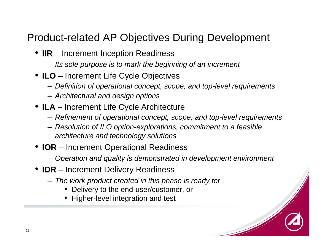#### Product-related AP Objectives During Development

- **IIR** Increment Inception Readiness
	- *Its sole purpose is to mark the beginning of an increment*
- **ILO** Increment Life Cycle Objectives
	- *Definition of operational concept, scope, and top-level requirements*
	- *Architectural and design options*
- **ILA** Increment Life Cycle Architecture
	- *Refinement of operational concept, scope, and top-level requirements*
	- *Resolution of ILO option-explorations, commitment to a feasible architecture and technology solutions*
- **IOR** Increment Operational Readiness
	- *Operation and quality is demonstrated in development environment*
- **IDR** Increment Delivery Readiness
	- *The work product created in this phase is ready for*
		- •Delivery to the end-user/customer, or
		- •Higher-level integration and test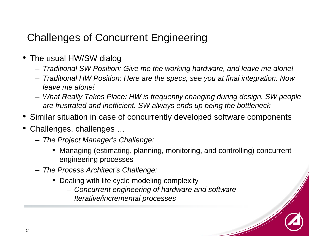## Challenges of Concurrent Engineering

- The usual HW/SW dialog
	- *Traditional SW Position: Give me the working hardware, and leave me alone!*
	- *Traditional HW Position: Here are the specs, see you at final integration. Now leave me alone!*
	- *What Really Takes Place: HW is frequently changing during design. SW people are frustrated and inefficient. SW always ends up being the bottleneck*
- Similar situation in case of concurrently developed software components
- Challenges, challenges …
	- *The Project Manager's Challenge:*
		- Managing (estimating, planning, monitoring, and controlling) concurrent engineering processes
	- *The Process Architect's Challenge:*
		- Dealing with life cycle modeling complexity
			- *Concurrent engineering of hardware and software*
			- *Iterative/incremental processes*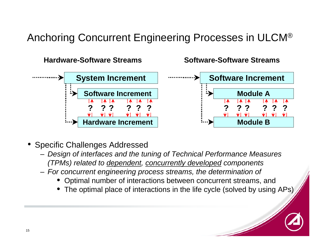## Anchoring Concurrent Engineering Processes in ULCM®



- Specific Challenges Addressed
	- *Design of interfaces and the tuning of Technical Performance Measures (TPMs) related to dependent, concurrently developed components*
	- *For concurrent engineering process streams, the determination of*
		- •Optimal number of interactions between concurrent streams, and
		- The optimal place of interactions in the life cycle (solved by using APs)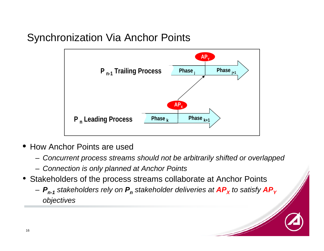#### Synchronization Via Anchor Points



- How Anchor Points are used
	- *Concurrent process streams should not be arbitrarily shifted or overlapped*
	- *Connection is only planned at Anchor Points*
- Stakeholders of the process streams collaborate at Anchor Points
	- $P_{n\text{-}1}$  stakeholders rely on  $P_n$  stakeholder deliveries at  $\textit{AP}_{\textsf{X}}$  to satisfy  $\textit{AP}_{\textsf{Y}}$ *objectives*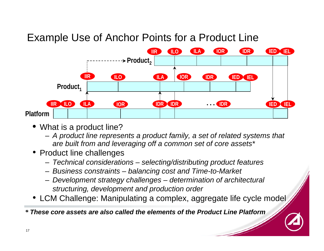#### Example Use of Anchor Points for a Product Line



- What is a product line?
	- *A product line represents a product family, a set of related systems that are built from and leveraging off a common set of core assets\**
- Product line challenges
	- *Technical considerations – selecting/distributing product features*
	- *Business constraints – balancing cost and Time-to-Market*
	- *Development strategy challenges – determination of architectural structuring, development and production order*
- LCM Challenge: Manipulating a complex, aggregate life cycle model

*\* These core assets are also called the elements of the Product Line Platform*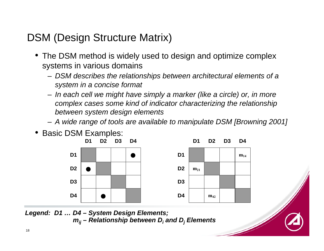### DSM (Design Structure Matrix)

- The DSM method is widely used to design and optimize complex systems in various domains
	- *DSM describes the relationships between architectural elements of a system in a concise format*
	- *In each cell we might have simply a marker (like a circle) or, in more complex cases some kind of indicator characterizing the relationship between system design elements*
	- *A wide range of tools are available to manipulate DSM [Browning 2001]*
- Basic DSM Examples:



*Legend: D1 … D4 – System Design Elements; mij – Relationship between Di and Dj Elements*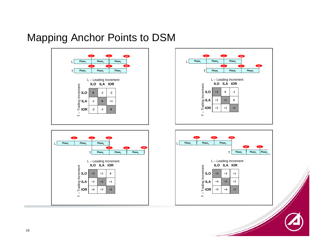#### Mapping Anchor Points to DSM









 $\mathscr{N}$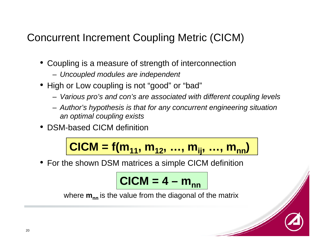#### Concurrent Increment Coupling Metric (CICM)

- Coupling is a measure of strength of interconnection
	- *Uncoupled modules are independent*
- High or Low coupling is not "good" or "bad"
	- *Various pro's and con's are associated with different coupling levels*
	- *Author's hypothesis is that for any concurrent engineering situation an optimal coupling exists*
- DSM-based CICM definition

$$
CICM = f(m_{11}, m_{12}, ..., m_{ij}, ..., m_{nn})
$$

• For the shown DSM matrices a simple CICM definition

$$
CICM = 4 - m_{nn}
$$

where **m<sub>nn</sub> is the value from the diagonal of the matrix**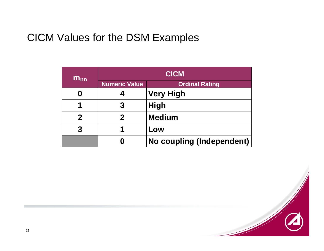#### CICM Values for the DSM Examples

| $m_{nn}$    | <b>CICM</b>          |                           |  |  |
|-------------|----------------------|---------------------------|--|--|
|             | <b>Numeric Value</b> | <b>Ordinal Rating</b>     |  |  |
| 0           |                      | <b>Very High</b>          |  |  |
| 1           |                      | <b>High</b>               |  |  |
| $\mathbf 2$ | $\mathbf 2$          | <b>Medium</b>             |  |  |
| 3           |                      | Low                       |  |  |
|             |                      | No coupling (Independent) |  |  |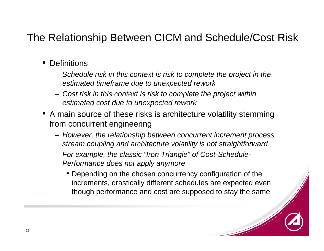#### The Relationship Between CICM and Schedule/Cost Risk

- Definitions
	- *Schedule risk in this context is risk to complete the project in the estimated timeframe due to unexpected rework*
	- *Cost risk in this context is risk to complete the project within estimated cost due to unexpected rework*
- A main source of these risks is architecture volatility stemming from concurrent engineering
	- *However, the relationship between concurrent increment process stream coupling and architecture volatility is not straightforward*
	- *For example, the classic "Iron Triangle" of Cost-Schedule-Performance does not apply anymore*
		- Depending on the chosen concurrency configuration of the increments, drastically different schedules are expected even though performance and cost are supposed to stay the same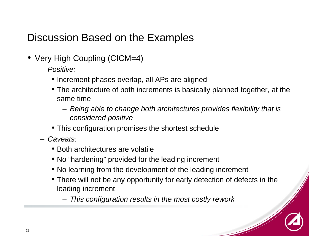#### Discussion Based on the Examples

- Very High Coupling (CICM=4)
	- *Positive:*
		- Increment phases overlap, all APs are aligned
		- The architecture of both increments is basically planned together, at the same time
			- *Being able to change both architectures provides flexibility that is considered positive*
		- This configuration promises the shortest schedule
	- *Caveats:*
		- Both architectures are volatile
		- No "hardening" provided for the leading increment
		- No learning from the development of the leading increment
		- There will not be any opportunity for early detection of defects in the leading increment
			- *This configuration results in the most costly rework*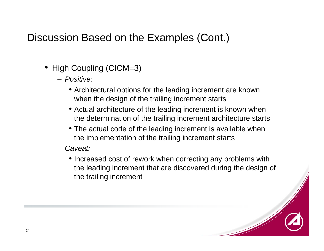#### Discussion Based on the Examples (Cont.)

- High Coupling (CICM=3)
	- *Positive:* 
		- Architectural options for the leading increment are known when the design of the trailing increment starts
		- Actual architecture of the leading increment is known when the determination of the trailing increment architecture starts
		- The actual code of the leading increment is available when the implementation of the trailing increment starts
	- *Caveat:*
		- Increased cost of rework when correcting any problems with the leading increment that are discovered during the design of the trailing increment

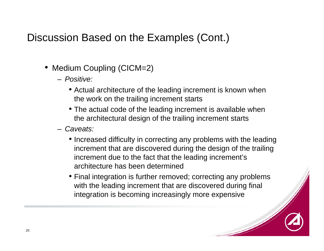#### Discussion Based on the Examples (Cont.)

- Medium Coupling (CICM=2)
	- *Positive:* 
		- Actual architecture of the leading increment is known when the work on the trailing increment starts
		- The actual code of the leading increment is available when the architectural design of the trailing increment starts
	- *Caveats:*
		- Increased difficulty in correcting any problems with the leading increment that are discovered during the design of the trailing increment due to the fact that the leading increment's architecture has been determined
		- Final integration is further removed; correcting any problems with the leading increment that are discovered during final integration is becoming increasingly more expensive

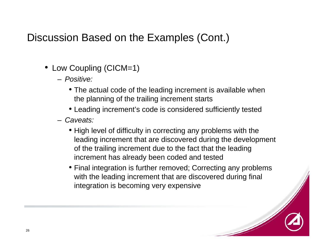#### Discussion Based on the Examples (Cont.)

- Low Coupling (CICM=1)
	- *Positive:* 
		- The actual code of the leading increment is available when the planning of the trailing increment starts
		- Leading increment's code is considered sufficiently tested
	- *Caveats:*
		- High level of difficulty in correcting any problems with the leading increment that are discovered during the development of the trailing increment due to the fact that the leading increment has already been coded and tested
		- Final integration is further removed; Correcting any problems with the leading increment that are discovered during final integration is becoming very expensive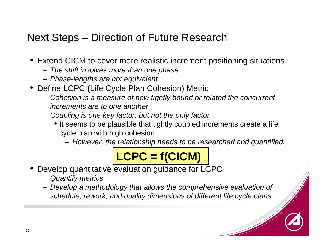## Next Steps – Direction of Future Research

- Extend CICM to cover more realistic increment positioning situations
	- *The shift involves more than one phase*
	- *Phase-lengths are not equivalent*
- Define LCPC (Life Cycle Plan Cohesion) Metric
	- *Cohesion is a measure of how tightly bound or related the concurrent increments are to one another*
	- *Coupling is one key factor, but not the only factor*
		- It seems to be plausible that tightly coupled increments create a life cycle plan with high cohesion
			- *However, the relationship needs to be researched and quantified.*

# **LCPC = f(CICM)**

- • Develop quantitative evaluation guidance for LCPC
	- *Quantify metrics*
	- *Develop a methodology that allows the comprehensive evaluation of schedule, rework, and quality dimensions of different life cycle plans*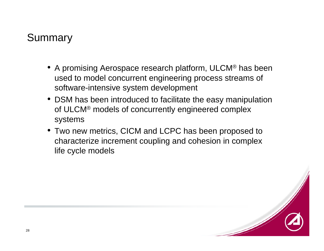#### Summary

- A promising Aerospace research platform, ULCM® has been used to model concurrent engineering process streams of software-intensive system development
- DSM has been introduced to facilitate the easy manipulation of ULCM® models of concurrently engineered complex systems
- Two new metrics, CICM and LCPC has been proposed to characterize increment coupling and cohesion in complex life cycle models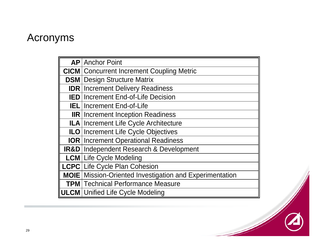#### Acronyms

| <b>AP</b> Anchor Point                                         |  |  |  |  |
|----------------------------------------------------------------|--|--|--|--|
| <b>CICM</b> Concurrent Increment Coupling Metric               |  |  |  |  |
| <b>DSM</b> Design Structure Matrix                             |  |  |  |  |
| <b>IDR</b> Increment Delivery Readiness                        |  |  |  |  |
| <b>IED</b> Increment End-of-Life Decision                      |  |  |  |  |
| <b>IEL</b> Increment End-of-Life                               |  |  |  |  |
| <b>IIR</b> Increment Inception Readiness                       |  |  |  |  |
| ILA   Increment Life Cycle Architecture                        |  |  |  |  |
| <b>ILO Increment Life Cycle Objectives</b>                     |  |  |  |  |
| <b>IOR   Increment Operational Readiness</b>                   |  |  |  |  |
| <b>IR&amp;D</b> Independent Research & Development             |  |  |  |  |
| <b>LCM</b> Life Cycle Modeling                                 |  |  |  |  |
| <b>LCPC</b> Life Cycle Plan Cohesion                           |  |  |  |  |
| <b>MOIE</b> Mission-Oriented Investigation and Experimentation |  |  |  |  |
| <b>TPM</b>   Technical Performance Measure                     |  |  |  |  |
| <b>ULCM</b> Unified Life Cycle Modeling                        |  |  |  |  |

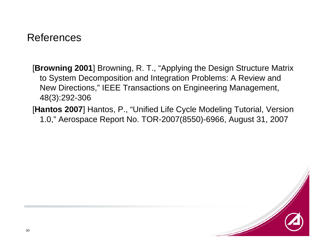#### References

[**Browning 2001**] Browning, R. T., "Applying the Design Structure Matrix to System Decomposition and Integration Problems: A Review and New Directions," IEEE Transactions on Engineering Management, 48(3):292-306

[**Hantos 2007**] Hantos, P., "Unified Life Cycle Modeling Tutorial, Version 1.0," Aerospace Report No. TOR-2007(8550)-6966, August 31, 2007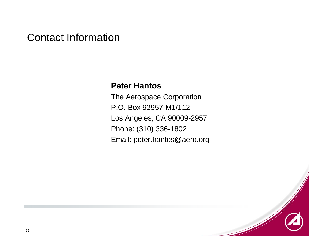#### Contact Information

#### **Peter Hantos**

The Aerospace Corporation P.O. Box 92957-M1/112Los Angeles, CA 90009-2957 Phone: (310) 336-1802 Email: peter.hantos@aero.org

31